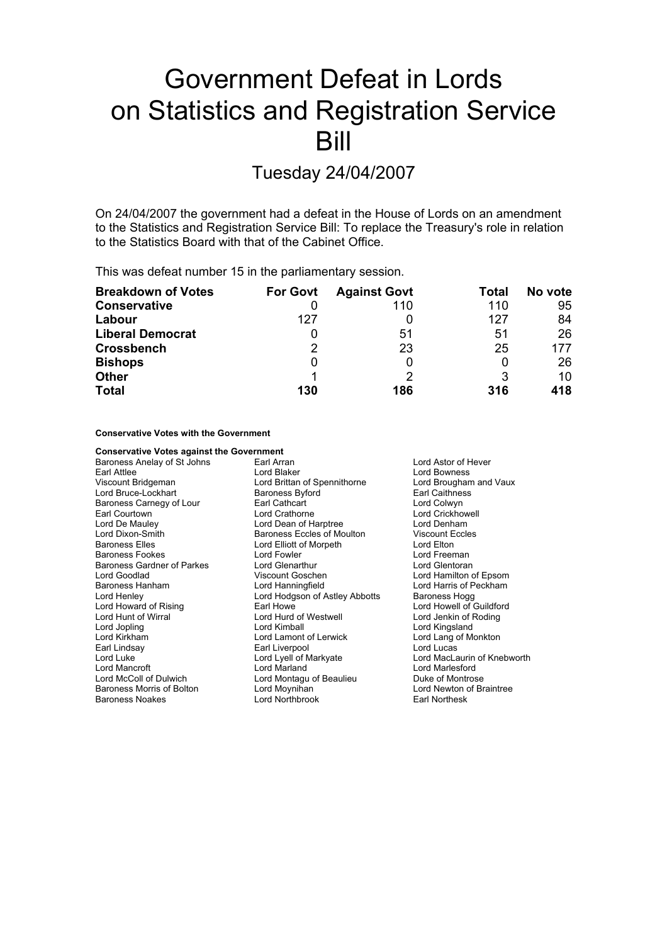# Government Defeat in Lords on Statistics and Registration Service Bill

# Tuesday 24/04/2007

On 24/04/2007 the government had a defeat in the House of Lords on an amendment to the Statistics and Registration Service Bill: To replace the Treasury's role in relation to the Statistics Board with that of the Cabinet Office.

This was defeat number 15 in the parliamentary session.

| <b>Breakdown of Votes</b> | <b>For Govt</b> | <b>Against Govt</b> | Total | No vote |
|---------------------------|-----------------|---------------------|-------|---------|
| Conservative              |                 | 110                 | 110   | 95      |
| Labour                    | 127             |                     | 127   | 84      |
| <b>Liberal Democrat</b>   |                 | 51                  | 51    | 26      |
| Crossbench                | 2               | 23                  | 25    | 177     |
| <b>Bishops</b>            | 0               |                     | 0     | 26      |
| <b>Other</b>              |                 |                     | 3     | 10      |
| <b>Total</b>              | 130             | 186                 | 316   | 418     |

### **Conservative Votes with the Government**

# **Conservative Votes against the Government** Baroness Anelay of St Johns Earl Arran and Earl Arran Lord Astor of Hever<br>
Earl Attlee Carl Attlee Lord Bowness Earl Attlee Lord Bowness<br>
Lord Bowness<br>
Lord Bridgeman Lord Brittan of Spennithorne Lord Broughan Lord Bruce-Lockhart **Baroness Byford** Caithness<br>
Baroness Carnegy of Lour **Baroness Earl Cathcart** Cathcart **Collegy** Carl Colwyn Baroness Carnegy of Lour Earl Cathcart<br>
Earl Courtown e Lord Crathorne Lord De Mauley **Lord Dean of Harptree** Lord Denham<br>
Lord Dixon-Smith **Collaction** Baroness Eccles of Moulton **Collaction** Viscount Eccles Lord Dixon-Smith **Baroness Eccles of Moulton** Viscount E<br>
Baroness Elles **Baroness Eccles of Morpeth** Lord Elton Lord Elliott of Morpeth Baroness Fookes Lord Fowler Lord Freeman Baroness Gardner of Parkes Lord Glenarthur Lord Guentoran Lord Glentoran<br>
Lord Goodlad Corol Coschen Lord Hamilton of Lord Goodlad Viscount Goschen Lord Hamilton of Epsom Baroness Hanham **Example 1** Lord Hanningfield Lord Harris of Peckham<br>
Lord Henlev Lord Hodgson of Astley Abbotts Baroness Hogg Lord Hodgson of Astley Abbotts Lord Howard of Rising Earl Howe Earl Howe Lord Howell of Guildford<br>
Lord Hurt of Wirral Lord Hurd of Westwell Lord Lord Jenkin of Roding Lord Hunt of Wirral Lord Hurd of Westwell Lord Jenkin of Roding<br>
Lord Annual Lord Kimball Lord Cord Kingsland Lord Kimball **Lord Kingsland** Lord Kirkham Lord Lamont of Lerwick Lord Lang of Monkton Earl Lindsa y Earl Liverpool Lord Lucas Lord Mancroft Lord Marland Lord Marlesford Lord McColl of Dulwich **Lord Montagu of Beaulieu** Baroness Montrose<br>
Baroness Morris of Bolton **Frankling** Lord Moynihan **Frankling Cord Metal Lord Newton of Braintree** Baroness Morris of Bolton Baroness Noakes Lord Northbrook Earl Northesk

Lord Brougham and Vaux Lord Crickhowell Lord MacLaurin of Knebworth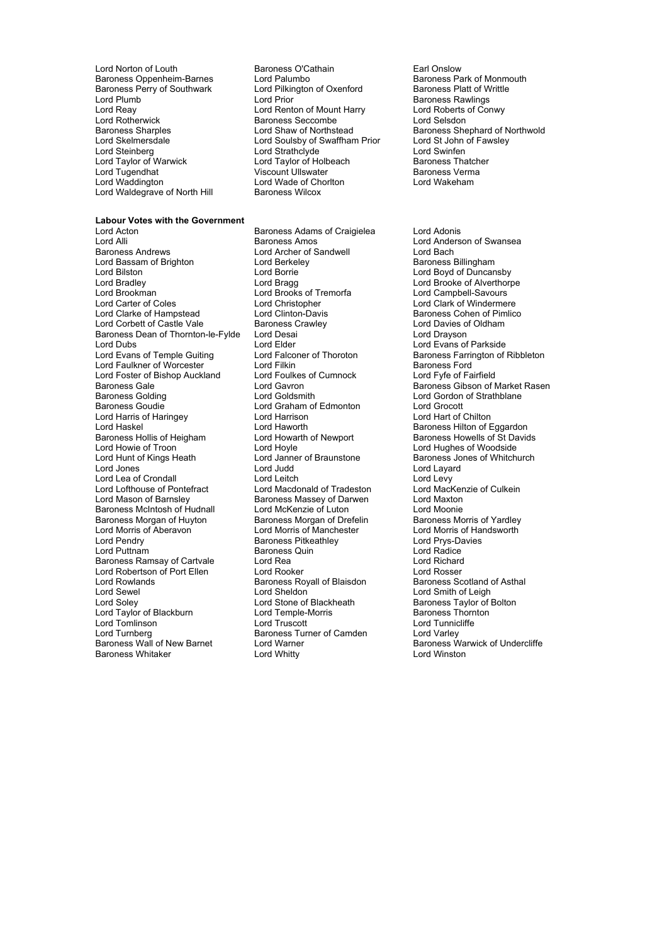Lord Norton of Louth **Baroness O'Cathain**<br>
Baroness Oppenheim-Barnes Lord Palumbo<br>
Baroness Park of Monmouth Baroness Oppenheim-Barnes Lord Palumbo<br>
Baroness Perry of Southwark Lord Pilkington of Oxenford Baroness Platt of Writtle Baroness Perry of Southwark Lord Pilkington Cord Pilkington Cord Pilkington Cord Baroness Perry of Southwark Lord Plumb (Electronic Lord Prior Cord Prior Cord Renton of Mount Harry Baroness Rawlings<br>
Lord Reay (Electronic Lord Renton of Mount Harry Lord Roberts of Conwy Lord Reay Lord Renton of Mount Harry Lord Roberts<br>Lord Rotherwick **Conwy Converts Converts Conwy Conwy Conwy Conwy Conwy Conwy Conwy Conwy Conwy Conwy Conwy Conw**<br>Lord Rotherwick Lord Rotherwick **Baroness Seccombe**<br>Baroness Sharples<br>
Lord Shaw of Northstead Lord Steinberg Lord Strathclyde Lord Swinfen Lord Taylor of Warwick Lord Taylor of Holbeach Baroness Thatcher Lord Tugendhat Viscount Ullswater Baroness Verma Lord Waldegrave of North Hill

# **Labour Votes with the Government**

Lord Alli **Lord Alli Baroness Amos** Lord Anderson of Swansea<br>Baroness Andrews **Lord Anderson Club Anderson Corporation** Lord Bach Lord Bassam of Brighton Lord Bilston Lord Borrie Lord Borrie Lord Boyd of Duncansby<br>
Lord Bradley Lord Bragg Lord Brooke of Alverthorp Lord Bradley **Lord Bragg Lord Bragg Lord Brooke of Alverthorpe**<br>
Lord Brookman **Lord Brooks of Tremorfa** Lord Campbell-Savours Lord Brookman Lord Brooks of Tremorfa<br>
Lord Carter of Coles
Lord Christopher Lord Clarke of Hampstead Lord Clinton-Davis Baroness Cohen of Pim<br>
Lord Corbett of Castle Vale Baroness Crawley Lord Davies of Oldham Lord Corbett of Castle Vale Baroness Crawley<br>
Baroness Dean of Thornton-le-Fylde Lord Desai<br>
Lord Drayson Baroness Dean of Thornton-le-Fylde Lord Desai<br>Lord Dubs Lord Elder Lord Dubs Lord Elder Lord Elder Lord Evans of Parkside<br>
Lord Evans of Temple Guiting Lord Falconer of Thoroton Baroness Farrington of Lord Faulkner of Worcester 
and The Lord Filkin Cord Foulkes of Cumnock
Lord Foster of Bishop Auckland
Lord Foster of Bishop Auckland
Lord Foulkes of Cumnock
Lord Fote of Fairfield
Cord Fote of Fairfield
Lord Fote of Fairf Lord Foster of Bishop Auckland Baroness Gale **Baroness** Gale Lord Gavron **Baroness** Gibson of Market Rasen Baroness Golding The Lord Goldsmith Cord Gordon of Strathblane<br>
Baroness Goudie The Lord Graham of Edmonton Lord Grocott Lord Harris of Haringey Lord Haworth Baroness Hilton of Eggardon<br>Baroness Hollis of Heigham Lord Howarth of Newport Baroness Howells of St David Baroness Hollis of Heigham Lord Howarth of Newport Baroness Howells of St Davids<br>
Lord Howie of Troon Lord Hovle Cord Hovels Cord Hughes of Woodside Lord Howie of Troon Lord Hoyle Lord Hoyle Lord Hughes of Woodside Lord Hughes of Woodside Lord Hughes of Whitch Lord Jones Lord Judd Lord Layard Lord Lea of Crondall **Lord Leitch**<br>
Lord Lord Lord Macdonald of Tradeston<br>
Lord Macdonald of Tradeston Lord Lofthouse of Pontefract Lord Macdonald of Tradeston Lord MacKenzie of Culkein<br>Lord Mason of Barnsley Baroness Massey of Darwen Lord Maxton Baroness McIntosh of Hudnall Lord McKenzie of Luton Lord Moonie<br>Baroness Morgan of Huvton Baroness Morgan of Drefelin Baroness Morris of Yardley Lord Morris of Aberavon **Lord Morris of Manchester** Lord Morris of Handsworth Lord Pendry **Community Community** Baroness Pitkeathley **Community Community Community Community** Community Lord Radice<br>
Baroness Quin<br>
Baroness Quin ential Baroness Ramsay of Cartvale Lord Rea Lord Rea Lord Richard<br>Lord Robertson of Port Ellen Lord Rooker Lord Rosser Lord Robertson of Port Ellen Lord Rooker Cord Rosser<br>
Lord Rowlands Cord Rosser Baroness Royall of Blaisdon Baroness Scotland of Asthal Lord Sewel **Lord Sheldon** Lord Sheldon Lord Sheldon Lord Smith of Leigh<br>
Lord Soley **Lord Stone of Blackheath** Baroness Taylor of Bolton Lord Taylor of Blackburn Lord Temple-Morris Baroness Thornton Lord Tomlinson **Lord Truscott** Lord Truscott Lord Tunnic<br>
Lord Turnberg **Lord Call Corporation**<br>
Lord Turnberg **Call Corporation**<br>
Baroness Turner of Camden Lord Turnberg **Baroness Turner of Camden**<br>
Baroness Turner of Camden<br>
Baroness Wall of New Barnet Lord Warner Baroness Whitaker

Lord Soulsby of Swaffham Prior Lord St John<br>Lord Strathclyde Lord Swinfen Lord Wade of Chorlton<br>Baroness Wilcox

Baroness Adams of Craigielea Lord Adonis Lord Archer of Sandwell **Lord Bach**<br> **Example 2** Lord Baroness Billingham Lord Christopher Lord Clark of Windermere<br>
Lord Clinton-Davis Baroness Cohen of Pimlico Lord Graham of Edmonton Lord Grocott<br>
Lord Harrison Lord Hart of Chilton Baroness Massey of Darwen and Lord Maxton<br>
Lord McKenzie of Luton and Rord Moonie Baroness Morgan of Drefelin<br>Lord Morris of Manchester Exercise Solution Contract Contract Contract Contract Contract Contract Contract Contract Contract Contract Co<br>
Baroness Quin Lord Richard<br>
Lord Richard Baroness Royall of Blaisdon Lord Stone of Blackheath **Baroness Warwick of Undercliffe**<br>
Lord Warner Baroness Warwick of Undercliffe<br>
Lord Winston

Baroness Sharples Lord Shaw of Northstead Baroness Shephard of Northwold<br>
Lord Skelmersdale Lord Soulsby of Swaffham Prior Lord St John of Fawsley

Lord Falconer of Thoroton Baroness Farrington of Ribbleton<br>
Lord Filkin<br>
Lord Filkin Baroness Jones of Whitchurch